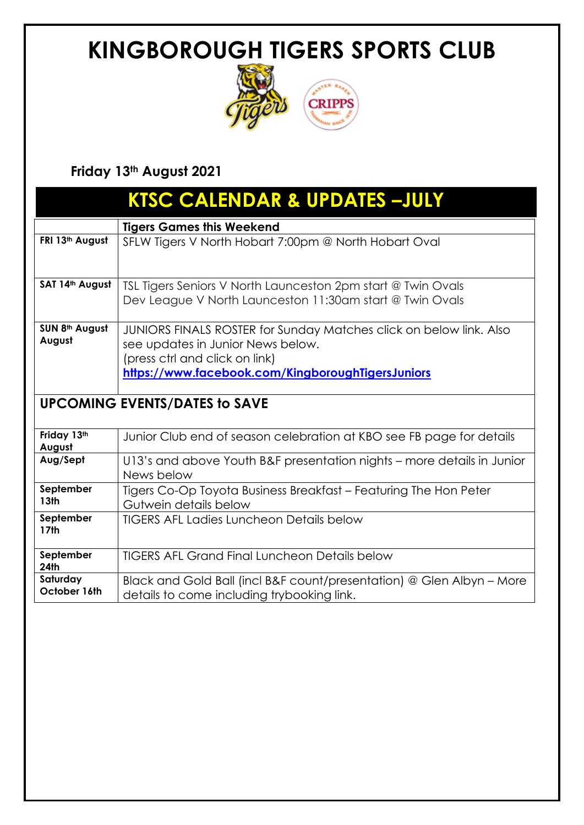

#### **Friday 13th August 2021**

| <b>KTSC CALENDAR &amp; UPDATES-JULY</b> |                                                                                                         |  |  |  |  |
|-----------------------------------------|---------------------------------------------------------------------------------------------------------|--|--|--|--|
|                                         | <b>Tigers Games this Weekend</b>                                                                        |  |  |  |  |
| FRI 13th August                         | SFLW Tigers V North Hobart 7:00pm @ North Hobart Oval                                                   |  |  |  |  |
| SAT 14th August                         | TSL Tigers Seniors V North Launceston 2pm start @ Twin Ovals                                            |  |  |  |  |
|                                         | Dev League V North Launceston 11:30am start @ Twin Ovals                                                |  |  |  |  |
| SUN 8th August<br>August                | JUNIORS FINALS ROSTER for Sunday Matches click on below link. Also<br>see updates in Junior News below. |  |  |  |  |
|                                         | (press ctrl and click on link)                                                                          |  |  |  |  |
|                                         | https://www.facebook.com/KingboroughTigersJuniors                                                       |  |  |  |  |
|                                         |                                                                                                         |  |  |  |  |
| <b>UPCOMING EVENTS/DATES to SAVE</b>    |                                                                                                         |  |  |  |  |
| Friday 13th<br>August                   | Junior Club end of season celebration at KBO see FB page for details                                    |  |  |  |  |
| Aug/Sept                                | U13's and above Youth B&F presentation nights – more details in Junior<br>News below                    |  |  |  |  |
| September<br>13 <sub>th</sub>           | Tigers Co-Op Toyota Business Breakfast - Featuring The Hon Peter<br>Gutwein details below               |  |  |  |  |
| September<br><b>17th</b>                | <b>TIGERS AFL Ladies Luncheon Details below</b>                                                         |  |  |  |  |
| September<br><b>24th</b>                | <b>TIGERS AFL Grand Final Luncheon Details below</b>                                                    |  |  |  |  |
| Saturday                                | Black and Gold Ball (incl B&F count/presentation) @ Glen Albyn - More                                   |  |  |  |  |
| October 16th                            | details to come including trybooking link.                                                              |  |  |  |  |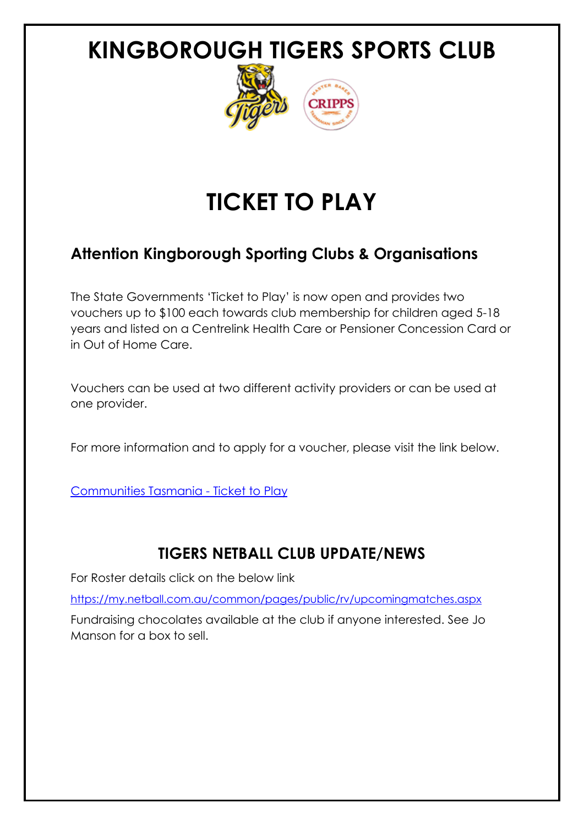

# **TICKET TO PLAY**

#### **Attention Kingborough Sporting Clubs & Organisations**

The State Governments 'Ticket to Play' is now open and provides two vouchers up to \$100 each towards club membership for children aged 5-18 years and listed on a Centrelink Health Care or Pensioner Concession Card or in Out of Home Care.

Vouchers can be used at two different activity providers or can be used at one provider.

For more information and to apply for a voucher, please visit the link below.

[Communities Tasmania -](https://www.communities.tas.gov.au/ticket-to-play) Ticket to Play

#### **TIGERS NETBALL CLUB UPDATE/NEWS**

For Roster details click on the below link

<https://my.netball.com.au/common/pages/public/rv/upcomingmatches.aspx>

Fundraising chocolates available at the club if anyone interested. See Jo Manson for a box to sell.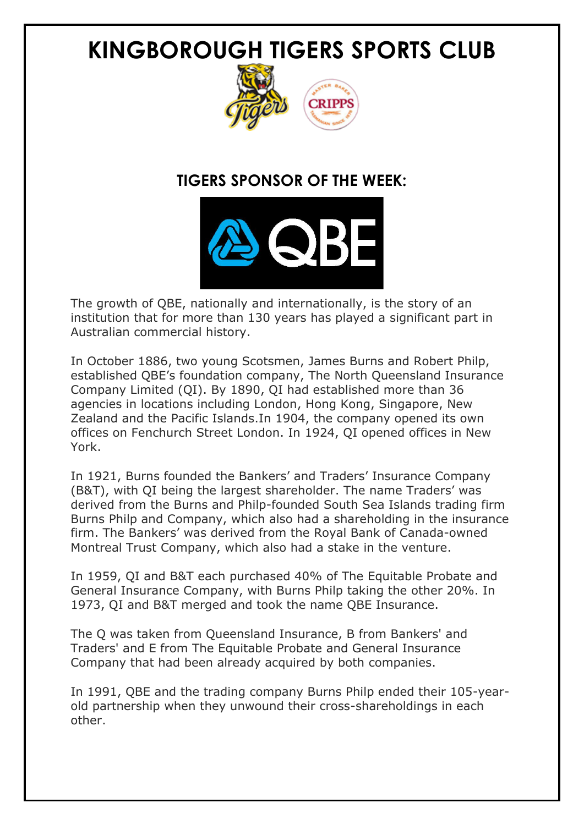

#### **TIGERS SPONSOR OF THE WEEK:**



The growth of QBE, nationally and internationally, is the story of an institution that for more than 130 years has played a significant part in Australian commercial history.

In October 1886, two young Scotsmen, James Burns and Robert Philp, established QBE's foundation company, The North Queensland Insurance Company Limited (QI). By 1890, QI had established more than 36 agencies in locations including London, Hong Kong, Singapore, New Zealand and the Pacific Islands.In 1904, the company opened its own offices on Fenchurch Street London. In 1924, QI opened offices in New York.

In 1921, Burns founded the Bankers' and Traders' Insurance Company (B&T), with QI being the largest shareholder. The name Traders' was derived from the Burns and Philp-founded South Sea Islands trading firm Burns Philp and Company, which also had a shareholding in the insurance firm. The Bankers' was derived from the Royal Bank of Canada-owned Montreal Trust Company, which also had a stake in the venture.

In 1959, QI and B&T each purchased 40% of The Equitable Probate and General Insurance Company, with Burns Philp taking the other 20%. In 1973, QI and B&T merged and took the name QBE Insurance.

The Q was taken from Queensland Insurance, B from Bankers' and Traders' and E from The Equitable Probate and General Insurance Company that had been already acquired by both companies.

In 1991, QBE and the trading company Burns Philp ended their 105-yearold partnership when they unwound their cross-shareholdings in each other.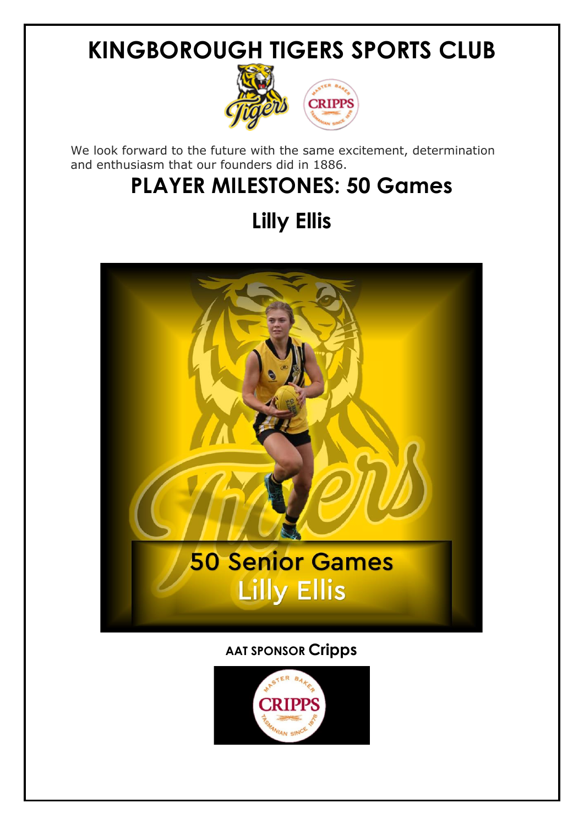

We look forward to the future with the same excitement, determination and enthusiasm that our founders did in 1886.

## **PLAYER MILESTONES: 50 Games**

## **Lilly Ellis**



#### **AAT SPONSOR Cripps**

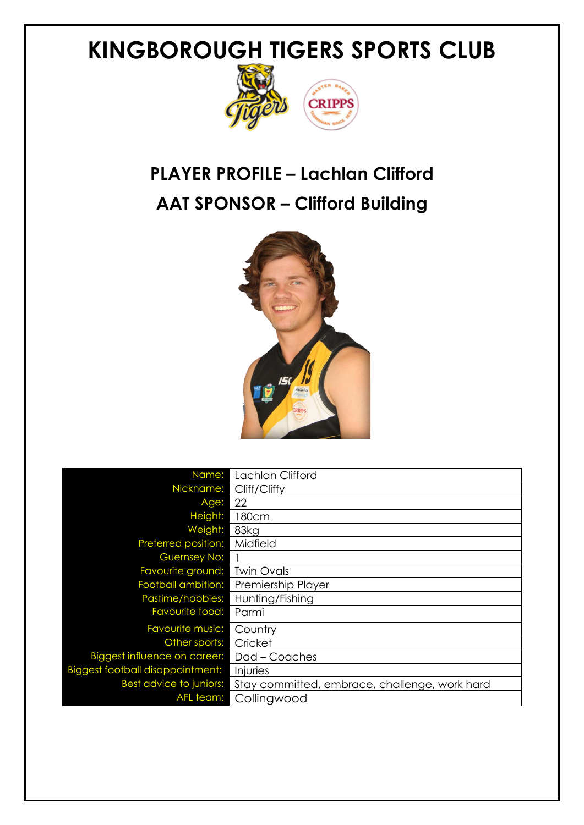

### **PLAYER PROFILE – Lachlan Clifford AAT SPONSOR – Clifford Building**



| Name:                                   | Lachlan Clifford                              |
|-----------------------------------------|-----------------------------------------------|
| Nickname:                               | Cliff/Cliffy                                  |
| Age:                                    | 22                                            |
| Height:                                 | 180cm                                         |
| Weight:                                 | 83kg                                          |
| Preferred position:                     | Midfield                                      |
| <b>Guernsey No:</b>                     |                                               |
| Favourite ground:                       | <b>Twin Ovals</b>                             |
| Football ambition:                      | Premiership Player                            |
| Pastime/hobbies:                        | Hunting/Fishing                               |
| Favourite food:                         | Parmi                                         |
| Favourite music:                        | Country                                       |
| Other sports:                           | Cricket                                       |
| Biggest influence on career:            | Dad - Coaches                                 |
| <b>Biggest football disappointment:</b> | Injuries                                      |
| Best advice to juniors:                 | Stay committed, embrace, challenge, work hard |
| AFL team:                               | Collingwood                                   |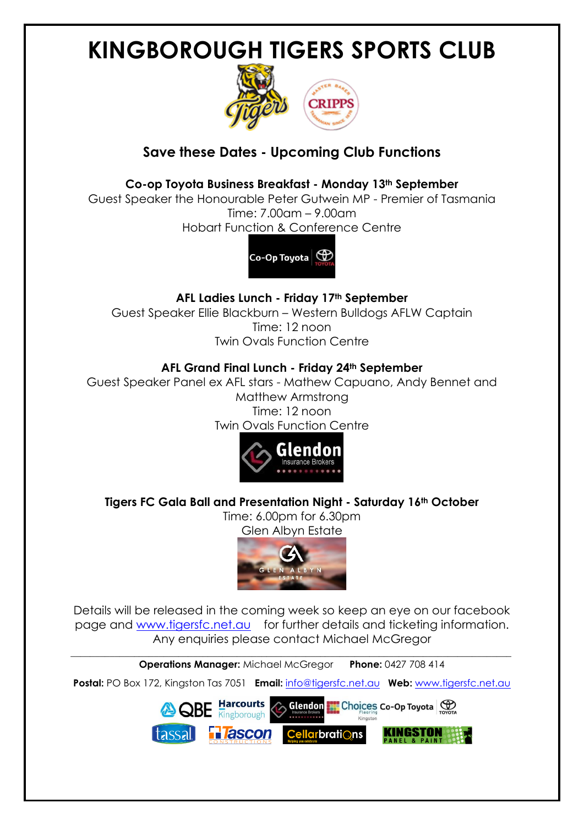

#### **Save these Dates - Upcoming Club Functions**

#### **Co-op Toyota Business Breakfast - Monday 13th September**

Guest Speaker the Honourable Peter Gutwein MP - Premier of Tasmania Time: 7.00am – 9.00am Hobart Function & Conference Centre



**AFL Ladies Lunch - Friday 17th September** Guest Speaker Ellie Blackburn – Western Bulldogs AFLW Captain Time: 12 noon Twin Ovals Function Centre

#### **AFL Grand Final Lunch - Friday 24th September**

Guest Speaker Panel ex AFL stars - Mathew Capuano, Andy Bennet and Matthew Armstrong Time: 12 noon Twin Ovals Function Centre



**Tigers FC Gala Ball and Presentation Night - Saturday 16th October**

Time: 6.00pm for 6.30pm Glen Albyn Estate





Details will be released in the coming week so keep an eye on our facebook page and [www.tigersfc.net.au](http://www.tigersfc.net.au/) for further details and ticketing information. Any enquiries please contact Michael McGregor

\_\_\_\_\_\_\_\_\_\_\_\_\_\_\_\_\_\_\_\_\_\_\_\_\_\_\_\_\_\_\_\_\_\_\_\_\_\_\_\_\_\_\_\_\_\_\_\_\_\_\_\_\_\_\_\_\_\_\_\_\_\_\_\_\_\_\_\_\_\_\_\_\_\_\_\_\_\_\_\_\_\_\_\_\_\_\_\_\_\_ **Operations Manager:** Michael McGregor **Phone:** 0427 708 414

**Postal:** PO Box 172, Kingston Tas 7051 **Email:** [info@tigersfc.net.au](mailto:info@tigersfc.net.au) **Web:** [www.tigersfc.net.au](http://www.tigersfc.net.au/)

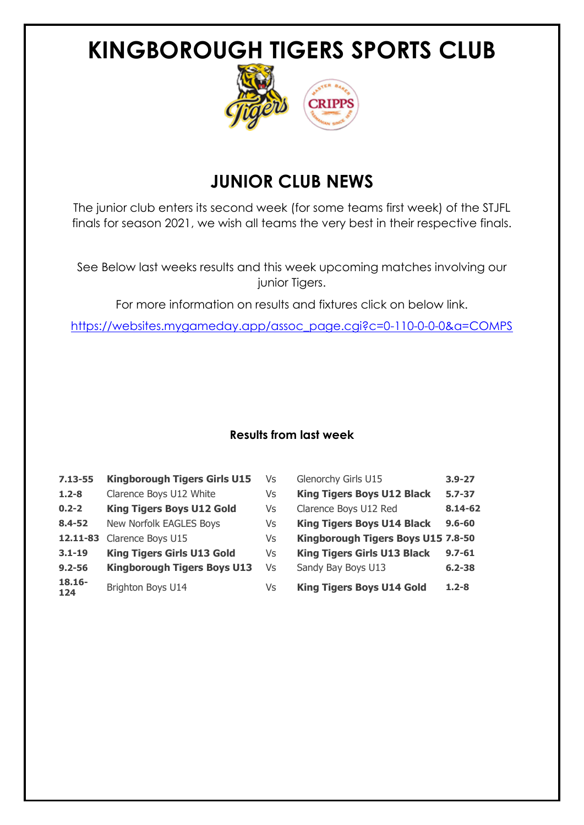

### **JUNIOR CLUB NEWS**

The junior club enters its second week (for some teams first week) of the STJFL finals for season 2021, we wish all teams the very best in their respective finals.

See Below last weeks results and this week upcoming matches involving our junior Tigers.

For more information on results and fixtures click on below link.

[https://websites.mygameday.app/assoc\\_page.cgi?c=0-110-0-0-0&a=COMPS](https://websites.mygameday.app/assoc_page.cgi?c=0-110-0-0-0&a=COMPS)

#### **Results from last week**

| $7.13 - 55$      | <b>Kingborough Tigers Girls U15</b> | Vs | Glenorchy Girls U15                | $3.9 - 27$ |
|------------------|-------------------------------------|----|------------------------------------|------------|
| $1.2 - 8$        | Clarence Boys U12 White             | Vs | <b>King Tigers Boys U12 Black</b>  | $5.7 - 37$ |
| $0.2 - 2$        | <b>King Tigers Boys U12 Gold</b>    | Vs | Clarence Boys U12 Red              | 8.14-62    |
| $8.4 - 52$       | New Norfolk EAGLES Boys             | Vs | <b>King Tigers Boys U14 Black</b>  | $9.6 - 60$ |
| 12.11-83         | Clarence Boys U15                   | Vs | Kingborough Tigers Boys U15 7.8-50 |            |
| $3.1 - 19$       | <b>King Tigers Girls U13 Gold</b>   | Vs | <b>King Tigers Girls U13 Black</b> | $9.7 - 61$ |
| $9.2 - 56$       | <b>Kingborough Tigers Boys U13</b>  | Vs | Sandy Bay Boys U13                 | $6.2 - 38$ |
| $18.16 -$<br>124 | Brighton Boys U14                   | Vs | <b>King Tigers Boys U14 Gold</b>   | $1.2 - 8$  |

| Glenorchy Girls U15                | $3.9 - 27$ |
|------------------------------------|------------|
| <b>King Tigers Boys U12 Black</b>  | $5.7 - 37$ |
| Clarence Boys U12 Red              | 8.14-62    |
| <b>King Tigers Boys U14 Black</b>  | $9.6 - 60$ |
| Kingborough Tigers Boys U15 7.8-50 |            |
| <b>King Tigers Girls U13 Black</b> | $9.7 - 61$ |
| Sandy Bay Boys U13                 | $6.2 - 38$ |
| <b>King Tigers Boys U14 Gold</b>   | $1.2 - 8$  |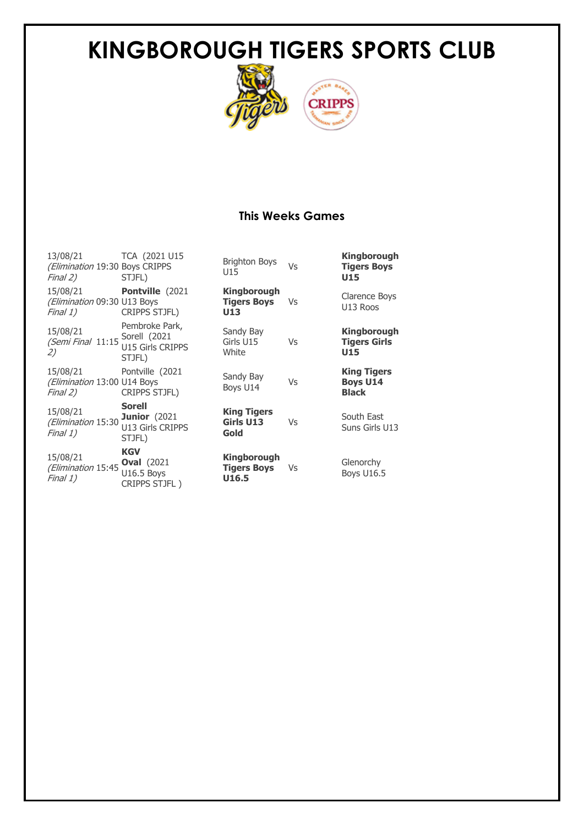

#### **This Weeks Games**

13/08/21 (Elimination 19:30 Boys CRIPPS Final 2) TCA (2021 U15 STJFL) 15/08/21 (Elimination 09:30 U13 Boys Final 1) **Pontville** (2021 CRIPPS STJFL) 15/08/21 (Semi Final 11:15 2) Pembroke Park, Sorell (2021 U15 Girls CRIPPS STJFL) 15/08/21 (Elimination 13:00 U14 Boys Final 2) Pontville (2021 CRIPPS STJFL) 15/08/21 (Elimination 15:30 **Junior** (2021 Final 1) **Sorell**  U13 Girls CRIPPS STJFL) 15/08/21 (Elimination 15:45 Final 1) **KGV Oval** (2021 U16.5 Boys

CRIPPS STJFL )

Brighton Boys<br>U15 **Kingborough Tigers Boys U15 Kingborough Tigers Boys U13** Vs Clarence Boys U13 Roos Sandy Bay Girls U<sub>15</sub> **White** Vs **Kingborough Tigers Girls U15** Sandy Bay Sariuy Bay Vs **King Tigers Boys U14 Black King Tigers Girls U13 Gold** Vs South East Suns Girls U13 **Kingborough Tigers Boys U16.5** Vs Glenorchy Boys U16.5